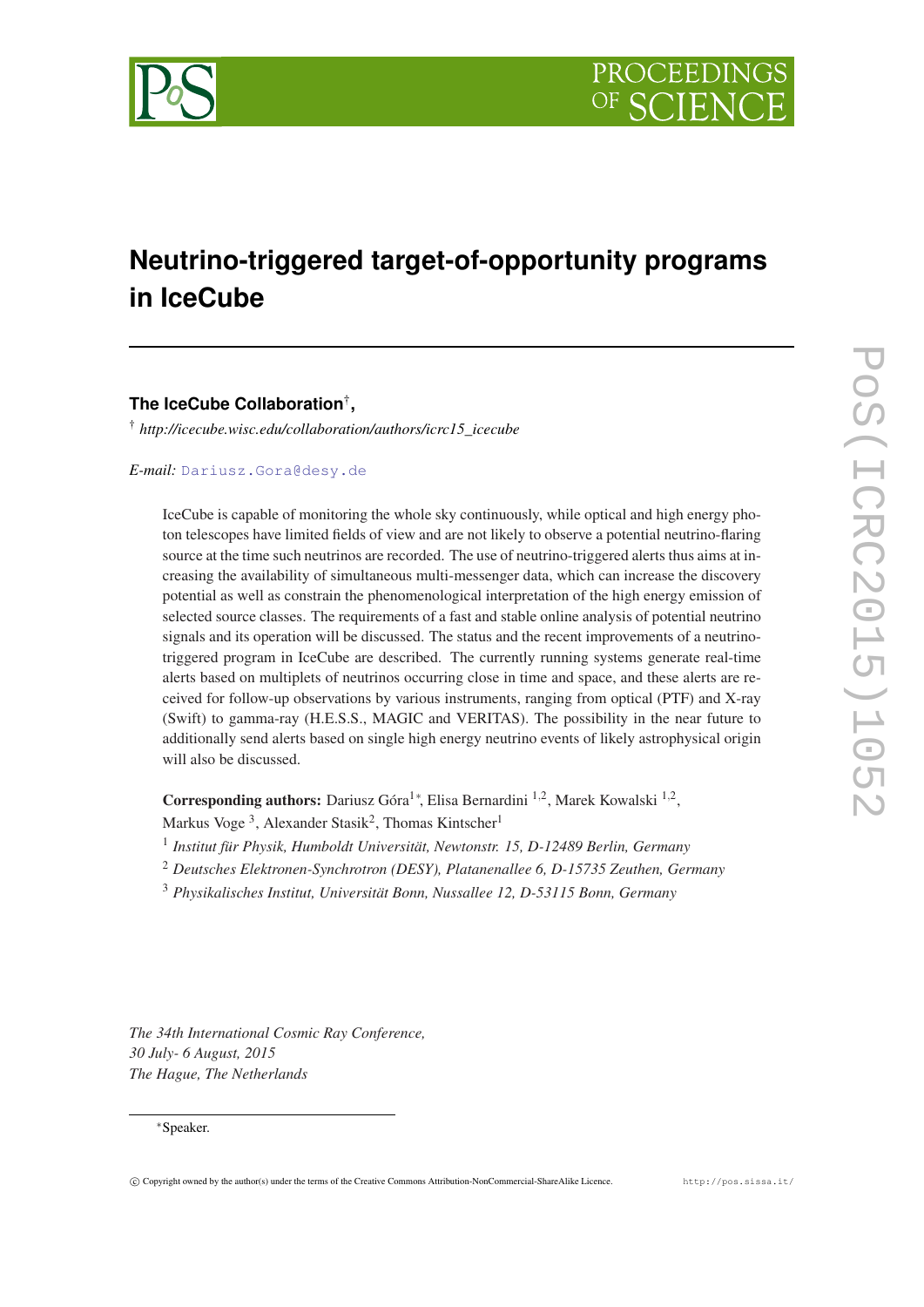

# **Neutrino-triggered target-of-opportunity programs in IceCube**

# **The IceCube Collaboration**† **,**

† *http://icecube.wisc.edu/collaboration/authors/icrc15\_icecube*

*E-mail:* [Dariusz.Gora@desy.de](mailto:Dariusz.Gora@desy.de)

IceCube is capable of monitoring the whole sky continuously, while optical and high energy photon telescopes have limited fields of view and are not likely to observe a potential neutrino-flaring source at the time such neutrinos are recorded. The use of neutrino-triggered alerts thus aims at increasing the availability of simultaneous multi-messenger data, which can increase the discovery potential as well as constrain the phenomenological interpretation of the high energy emission of selected source classes. The requirements of a fast and stable online analysis of potential neutrino signals and its operation will be discussed. The status and the recent improvements of a neutrinotriggered program in IceCube are described. The currently running systems generate real-time alerts based on multiplets of neutrinos occurring close in time and space, and these alerts are received for follow-up observations by various instruments, ranging from optical (PTF) and X-ray (Swift) to gamma-ray (H.E.S.S., MAGIC and VERITAS). The possibility in the near future to additionally send alerts based on single high energy neutrino events of likely astrophysical origin will also be discussed.

Corresponding authors: Dariusz Góra<sup>1\*</sup>, Elisa Bernardini<sup>1,2</sup>, Marek Kowalski<sup>1,2</sup>,

Markus Voge<sup>3</sup>, Alexander Stasik<sup>2</sup>, Thomas Kintscher<sup>1</sup>

- 1 *Institut für Physik, Humboldt Universität, Newtonstr. 15, D-12489 Berlin, Germany*
- <sup>2</sup> *Deutsches Elektronen-Synchrotron (DESY), Platanenallee 6, D-15735 Zeuthen, Germany*
- <sup>3</sup> *Physikalisches Institut, Universität Bonn, Nussallee 12, D-53115 Bonn, Germany*

*The 34th International Cosmic Ray Conference, 30 July- 6 August, 2015 The Hague, The Netherlands*

#### <sup>∗</sup>Speaker.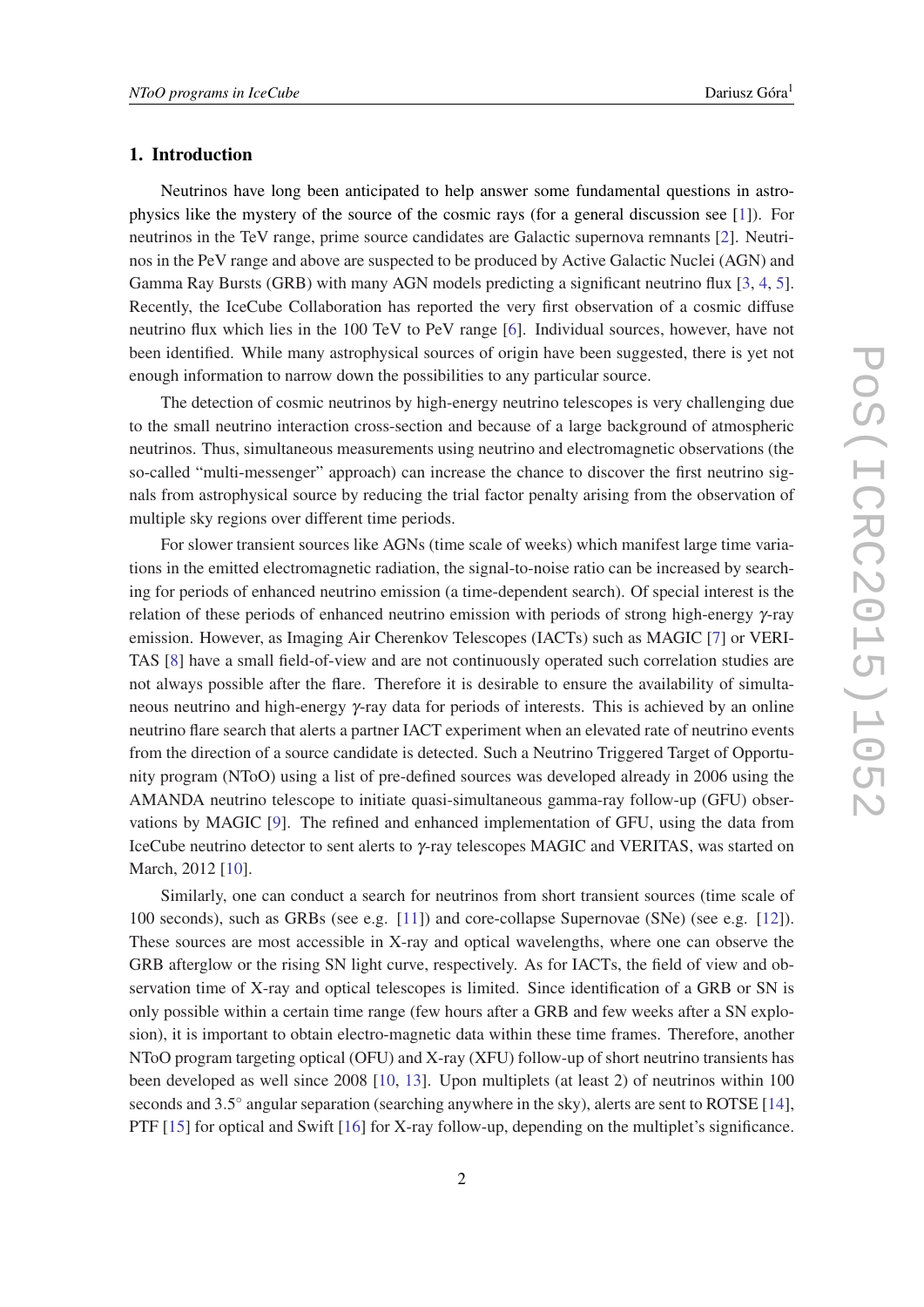#### 1. Introduction

Neutrinos have long been anticipated to help answer some fundamental questions in astrophysics like the mystery of the source of the cosmic rays (for a general discussion see [[1](#page-7-0)]). For neutrinos in the TeV range, prime source candidates are Galactic supernova remnants [[2](#page-7-0)]. Neutrinos in the PeV range and above are suspected to be produced by Active Galactic Nuclei (AGN) and Gamma Ray Bursts (GRB) with many AGN models predicting a significant neutrino flux [\[3,](#page-7-0) [4,](#page-7-0) [5\]](#page-7-0). Recently, the IceCube Collaboration has reported the very first observation of a cosmic diffuse neutrino flux which lies in the 100 TeV to PeV range [[6](#page-7-0)]. Individual sources, however, have not been identified. While many astrophysical sources of origin have been suggested, there is yet not enough information to narrow down the possibilities to any particular source.

The detection of cosmic neutrinos by high-energy neutrino telescopes is very challenging due to the small neutrino interaction cross-section and because of a large background of atmospheric neutrinos. Thus, simultaneous measurements using neutrino and electromagnetic observations (the so-called "multi-messenger" approach) can increase the chance to discover the first neutrino signals from astrophysical source by reducing the trial factor penalty arising from the observation of multiple sky regions over different time periods.

For slower transient sources like AGNs (time scale of weeks) which manifest large time variations in the emitted electromagnetic radiation, the signal-to-noise ratio can be increased by searching for periods of enhanced neutrino emission (a time-dependent search). Of special interest is the relation of these periods of enhanced neutrino emission with periods of strong high-energy γ-ray emission. However, as Imaging Air Cherenkov Telescopes (IACTs) such as MAGIC [\[7](#page-7-0)] or VERI-TAS [[8](#page-7-0)] have a small field-of-view and are not continuously operated such correlation studies are not always possible after the flare. Therefore it is desirable to ensure the availability of simultaneous neutrino and high-energy γ-ray data for periods of interests. This is achieved by an online neutrino flare search that alerts a partner IACT experiment when an elevated rate of neutrino events from the direction of a source candidate is detected. Such a Neutrino Triggered Target of Opportunity program (NToO) using a list of pre-defined sources was developed already in 2006 using the AMANDA neutrino telescope to initiate quasi-simultaneous gamma-ray follow-up (GFU) observations by MAGIC [[9](#page-7-0)]. The refined and enhanced implementation of GFU, using the data from IceCube neutrino detector to sent alerts to γ-ray telescopes MAGIC and VERITAS, was started on March, 2012 [\[10](#page-7-0)].

Similarly, one can conduct a search for neutrinos from short transient sources (time scale of 100 seconds), such as GRBs (see e.g. [\[11](#page-7-0)]) and core-collapse Supernovae (SNe) (see e.g. [\[12\]](#page-7-0)). These sources are most accessible in X-ray and optical wavelengths, where one can observe the GRB afterglow or the rising SN light curve, respectively. As for IACTs, the field of view and observation time of X-ray and optical telescopes is limited. Since identification of a GRB or SN is only possible within a certain time range (few hours after a GRB and few weeks after a SN explosion), it is important to obtain electro-magnetic data within these time frames. Therefore, another NToO program targeting optical (OFU) and X-ray (XFU) follow-up of short neutrino transients has been developed as well since 2008 [[10,](#page-7-0) [13\]](#page-7-0). Upon multiplets (at least 2) of neutrinos within 100 seconds and 3.5° angular separation (searching anywhere in the sky), alerts are sent to ROTSE [[14\]](#page-7-0), PTF [\[15](#page-7-0)] for optical and Swift [[16](#page-7-0)] for X-ray follow-up, depending on the multiplet's significance.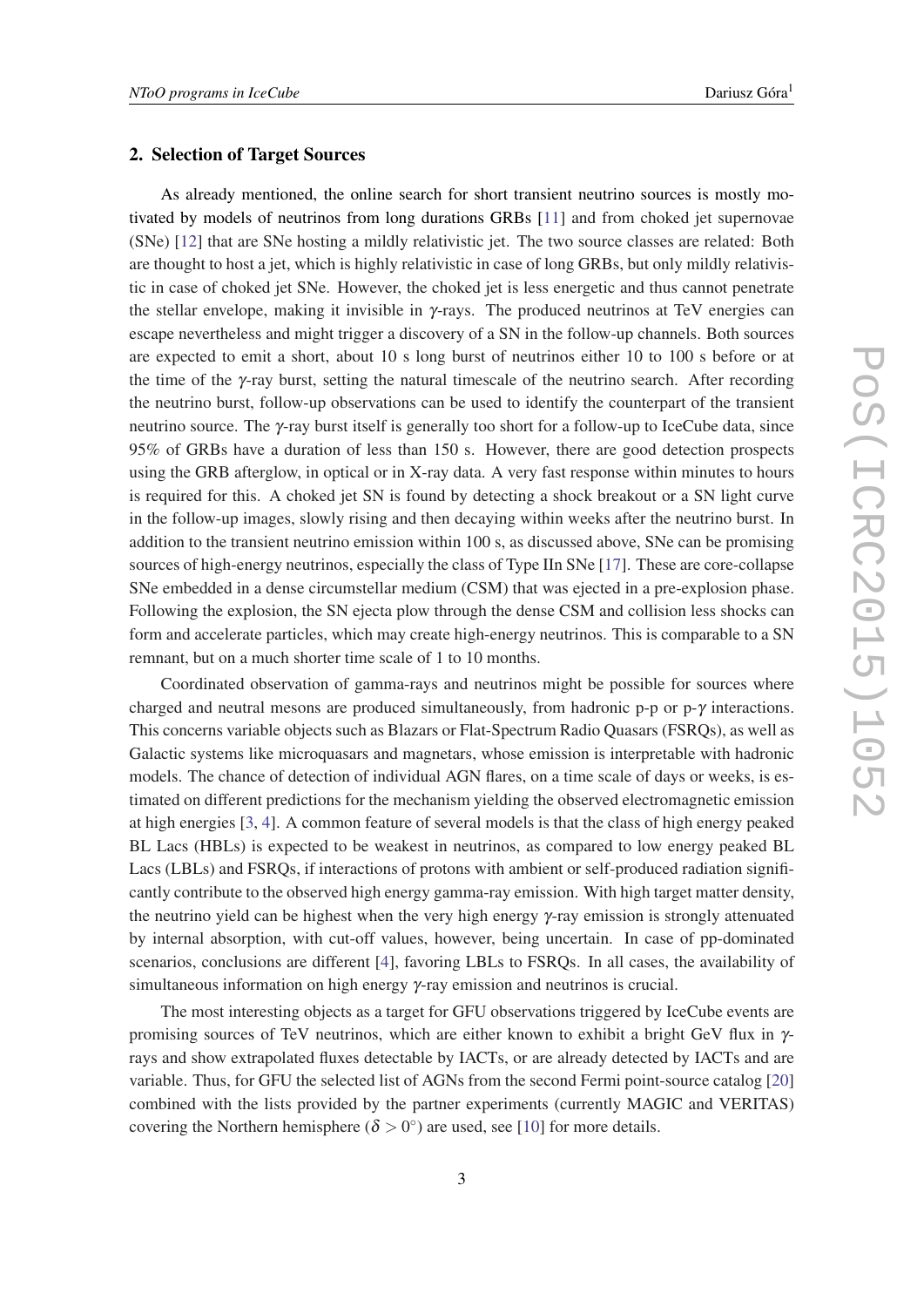### 2. Selection of Target Sources

As already mentioned, the online search for short transient neutrino sources is mostly motivated by models of neutrinos from long durations GRBs [\[11\]](#page-7-0) and from choked jet supernovae (SNe) [\[12](#page-7-0)] that are SNe hosting a mildly relativistic jet. The two source classes are related: Both are thought to host a jet, which is highly relativistic in case of long GRBs, but only mildly relativistic in case of choked jet SNe. However, the choked jet is less energetic and thus cannot penetrate the stellar envelope, making it invisible in  $\gamma$ -rays. The produced neutrinos at TeV energies can escape nevertheless and might trigger a discovery of a SN in the follow-up channels. Both sources are expected to emit a short, about 10 s long burst of neutrinos either 10 to 100 s before or at the time of the γ-ray burst, setting the natural timescale of the neutrino search. After recording the neutrino burst, follow-up observations can be used to identify the counterpart of the transient neutrino source. The γ-ray burst itself is generally too short for a follow-up to IceCube data, since 95% of GRBs have a duration of less than 150 s. However, there are good detection prospects using the GRB afterglow, in optical or in X-ray data. A very fast response within minutes to hours is required for this. A choked jet SN is found by detecting a shock breakout or a SN light curve in the follow-up images, slowly rising and then decaying within weeks after the neutrino burst. In addition to the transient neutrino emission within 100 s, as discussed above, SNe can be promising sources of high-energy neutrinos, especially the class of Type IIn SNe [\[17](#page-7-0)]. These are core-collapse SNe embedded in a dense circumstellar medium (CSM) that was ejected in a pre-explosion phase. Following the explosion, the SN ejecta plow through the dense CSM and collision less shocks can form and accelerate particles, which may create high-energy neutrinos. This is comparable to a SN remnant, but on a much shorter time scale of 1 to 10 months.

Coordinated observation of gamma-rays and neutrinos might be possible for sources where charged and neutral mesons are produced simultaneously, from hadronic p-p or p- $\gamma$  interactions. This concerns variable objects such as Blazars or Flat-Spectrum Radio Quasars (FSRQs), as well as Galactic systems like microquasars and magnetars, whose emission is interpretable with hadronic models. The chance of detection of individual AGN flares, on a time scale of days or weeks, is estimated on different predictions for the mechanism yielding the observed electromagnetic emission at high energies [\[3,](#page-7-0) [4](#page-7-0)]. A common feature of several models is that the class of high energy peaked BL Lacs (HBLs) is expected to be weakest in neutrinos, as compared to low energy peaked BL Lacs (LBLs) and FSRQs, if interactions of protons with ambient or self-produced radiation significantly contribute to the observed high energy gamma-ray emission. With high target matter density, the neutrino yield can be highest when the very high energy γ-ray emission is strongly attenuated by internal absorption, with cut-off values, however, being uncertain. In case of pp-dominated scenarios, conclusions are different [\[4\]](#page-7-0), favoring LBLs to FSRQs. In all cases, the availability of simultaneous information on high energy γ-ray emission and neutrinos is crucial.

The most interesting objects as a target for GFU observations triggered by IceCube events are promising sources of TeV neutrinos, which are either known to exhibit a bright GeV flux in γrays and show extrapolated fluxes detectable by IACTs, or are already detected by IACTs and are variable. Thus, for GFU the selected list of AGNs from the second Fermi point-source catalog [\[20](#page-7-0)] combined with the lists provided by the partner experiments (currently MAGIC and VERITAS) covering the Northern hemisphere ( $\delta > 0^{\circ}$ ) are used, see [[10\]](#page-7-0) for more details.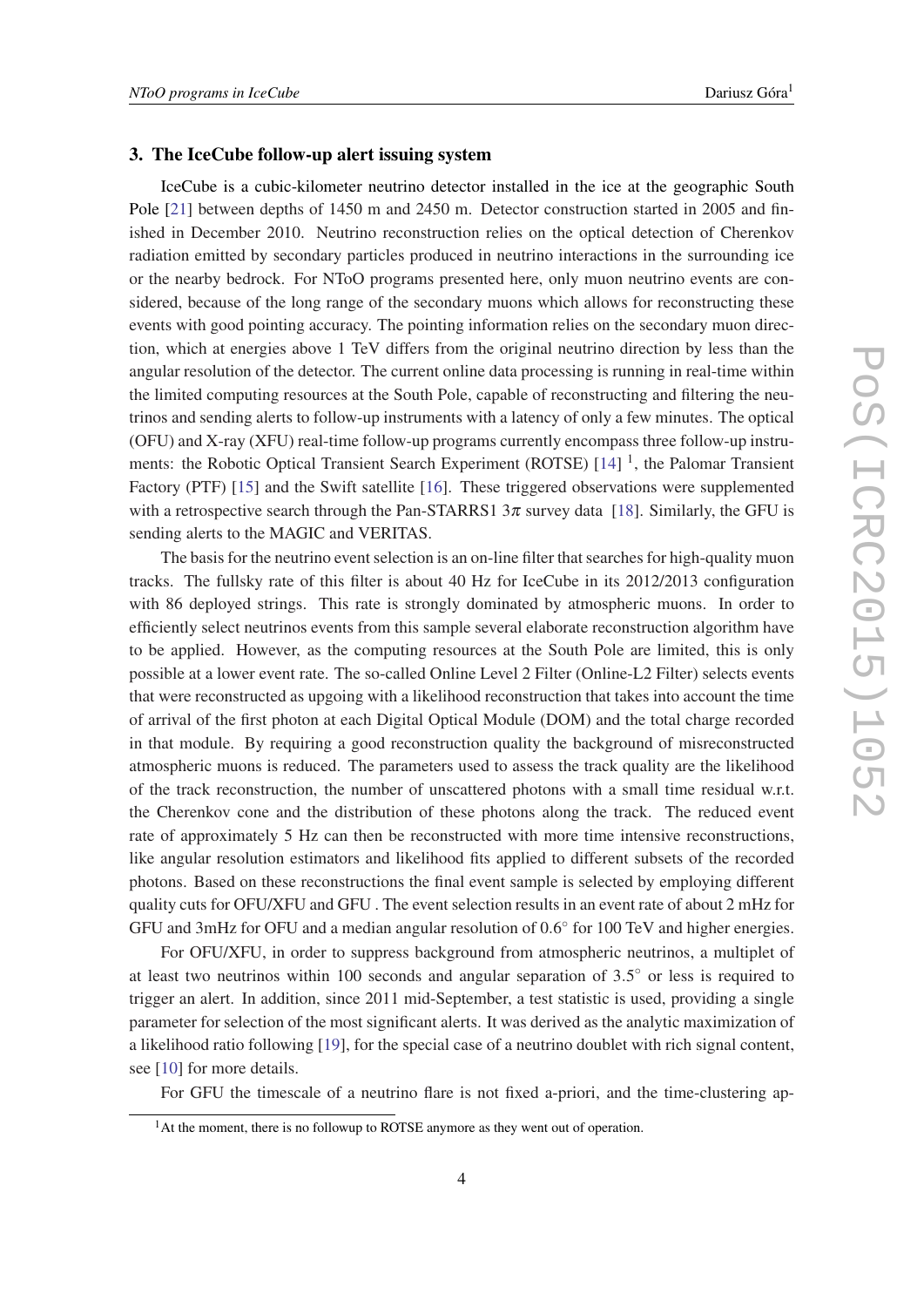#### 3. The IceCube follow-up alert issuing system

IceCube is a cubic-kilometer neutrino detector installed in the ice at the geographic South Pole [[21\]](#page-7-0) between depths of 1450 m and 2450 m. Detector construction started in 2005 and finished in December 2010. Neutrino reconstruction relies on the optical detection of Cherenkov radiation emitted by secondary particles produced in neutrino interactions in the surrounding ice or the nearby bedrock. For NToO programs presented here, only muon neutrino events are considered, because of the long range of the secondary muons which allows for reconstructing these events with good pointing accuracy. The pointing information relies on the secondary muon direction, which at energies above 1 TeV differs from the original neutrino direction by less than the angular resolution of the detector. The current online data processing is running in real-time within the limited computing resources at the South Pole, capable of reconstructing and filtering the neutrinos and sending alerts to follow-up instruments with a latency of only a few minutes. The optical (OFU) and X-ray (XFU) real-time follow-up programs currently encompass three follow-up instru-ments: the Robotic Optical Transient Search Experiment (ROTSE) [\[14](#page-7-0)]<sup>1</sup>, the Palomar Transient Factory (PTF) [[15\]](#page-7-0) and the Swift satellite [\[16](#page-7-0)]. These triggered observations were supplemented with a retrospective search through the Pan-STARRS1  $3\pi$  survey data [[18\]](#page-7-0). Similarly, the GFU is sending alerts to the MAGIC and VERITAS.

The basis for the neutrino event selection is an on-line filter that searches for high-quality muon tracks. The fullsky rate of this filter is about 40 Hz for IceCube in its 2012/2013 configuration with 86 deployed strings. This rate is strongly dominated by atmospheric muons. In order to efficiently select neutrinos events from this sample several elaborate reconstruction algorithm have to be applied. However, as the computing resources at the South Pole are limited, this is only possible at a lower event rate. The so-called Online Level 2 Filter (Online-L2 Filter) selects events that were reconstructed as upgoing with a likelihood reconstruction that takes into account the time of arrival of the first photon at each Digital Optical Module (DOM) and the total charge recorded in that module. By requiring a good reconstruction quality the background of misreconstructed atmospheric muons is reduced. The parameters used to assess the track quality are the likelihood of the track reconstruction, the number of unscattered photons with a small time residual w.r.t. the Cherenkov cone and the distribution of these photons along the track. The reduced event rate of approximately 5 Hz can then be reconstructed with more time intensive reconstructions, like angular resolution estimators and likelihood fits applied to different subsets of the recorded photons. Based on these reconstructions the final event sample is selected by employing different quality cuts for OFU/XFU and GFU . The event selection results in an event rate of about 2 mHz for GFU and 3mHz for OFU and a median angular resolution of 0.6° for 100 TeV and higher energies.

For OFU/XFU, in order to suppress background from atmospheric neutrinos, a multiplet of at least two neutrinos within 100 seconds and angular separation of 3.5° or less is required to trigger an alert. In addition, since 2011 mid-September, a test statistic is used, providing a single parameter for selection of the most significant alerts. It was derived as the analytic maximization of a likelihood ratio following [\[19](#page-7-0)], for the special case of a neutrino doublet with rich signal content, see [[10\]](#page-7-0) for more details.

For GFU the timescale of a neutrino flare is not fixed a-priori, and the time-clustering ap-

<sup>&</sup>lt;sup>1</sup>At the moment, there is no followup to ROTSE anymore as they went out of operation.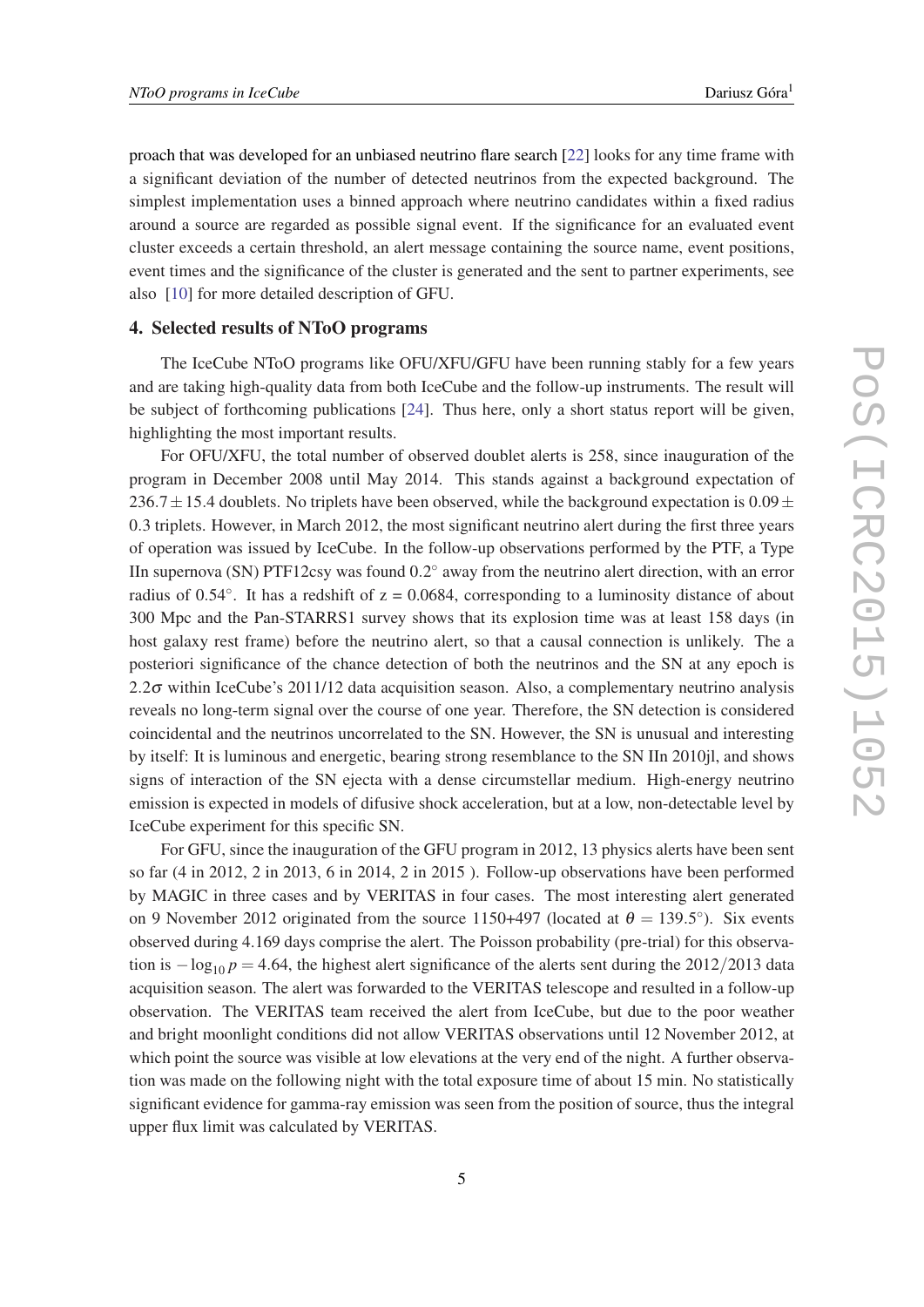proach that was developed for an unbiased neutrino flare search [[22\]](#page-7-0) looks for any time frame with a significant deviation of the number of detected neutrinos from the expected background. The simplest implementation uses a binned approach where neutrino candidates within a fixed radius around a source are regarded as possible signal event. If the significance for an evaluated event cluster exceeds a certain threshold, an alert message containing the source name, event positions, event times and the significance of the cluster is generated and the sent to partner experiments, see also [[10\]](#page-7-0) for more detailed description of GFU.

# 4. Selected results of NToO programs

The IceCube NToO programs like OFU/XFU/GFU have been running stably for a few years and are taking high-quality data from both IceCube and the follow-up instruments. The result will be subject of forthcoming publications [\[24](#page-7-0)]. Thus here, only a short status report will be given, highlighting the most important results.

For OFU/XFU, the total number of observed doublet alerts is 258, since inauguration of the program in December 2008 until May 2014. This stands against a background expectation of 236.7 $\pm$ 15.4 doublets. No triplets have been observed, while the background expectation is 0.09 $\pm$ 0.3 triplets. However, in March 2012, the most significant neutrino alert during the first three years of operation was issued by IceCube. In the follow-up observations performed by the PTF, a Type IIn supernova (SN) PTF12csy was found  $0.2^{\circ}$  away from the neutrino alert direction, with an error radius of  $0.54^\circ$ . It has a redshift of  $z = 0.0684$ , corresponding to a luminosity distance of about 300 Mpc and the Pan-STARRS1 survey shows that its explosion time was at least 158 days (in host galaxy rest frame) before the neutrino alert, so that a causal connection is unlikely. The a posteriori significance of the chance detection of both the neutrinos and the SN at any epoch is 2.2 $\sigma$  within IceCube's 2011/12 data acquisition season. Also, a complementary neutrino analysis reveals no long-term signal over the course of one year. Therefore, the SN detection is considered coincidental and the neutrinos uncorrelated to the SN. However, the SN is unusual and interesting by itself: It is luminous and energetic, bearing strong resemblance to the SN IIn 2010jl, and shows signs of interaction of the SN ejecta with a dense circumstellar medium. High-energy neutrino emission is expected in models of difusive shock acceleration, but at a low, non-detectable level by IceCube experiment for this specific SN.

For GFU, since the inauguration of the GFU program in 2012, 13 physics alerts have been sent so far (4 in 2012, 2 in 2013, 6 in 2014, 2 in 2015 ). Follow-up observations have been performed by MAGIC in three cases and by VERITAS in four cases. The most interesting alert generated on 9 November 2012 originated from the source 1150+497 (located at  $\theta = 139.5^{\circ}$ ). Six events observed during 4.169 days comprise the alert. The Poisson probability (pre-trial) for this observation is  $-\log_{10} p = 4.64$ , the highest alert significance of the alerts sent during the 2012/2013 data acquisition season. The alert was forwarded to the VERITAS telescope and resulted in a follow-up observation. The VERITAS team received the alert from IceCube, but due to the poor weather and bright moonlight conditions did not allow VERITAS observations until 12 November 2012, at which point the source was visible at low elevations at the very end of the night. A further observation was made on the following night with the total exposure time of about 15 min. No statistically significant evidence for gamma-ray emission was seen from the position of source, thus the integral upper flux limit was calculated by VERITAS.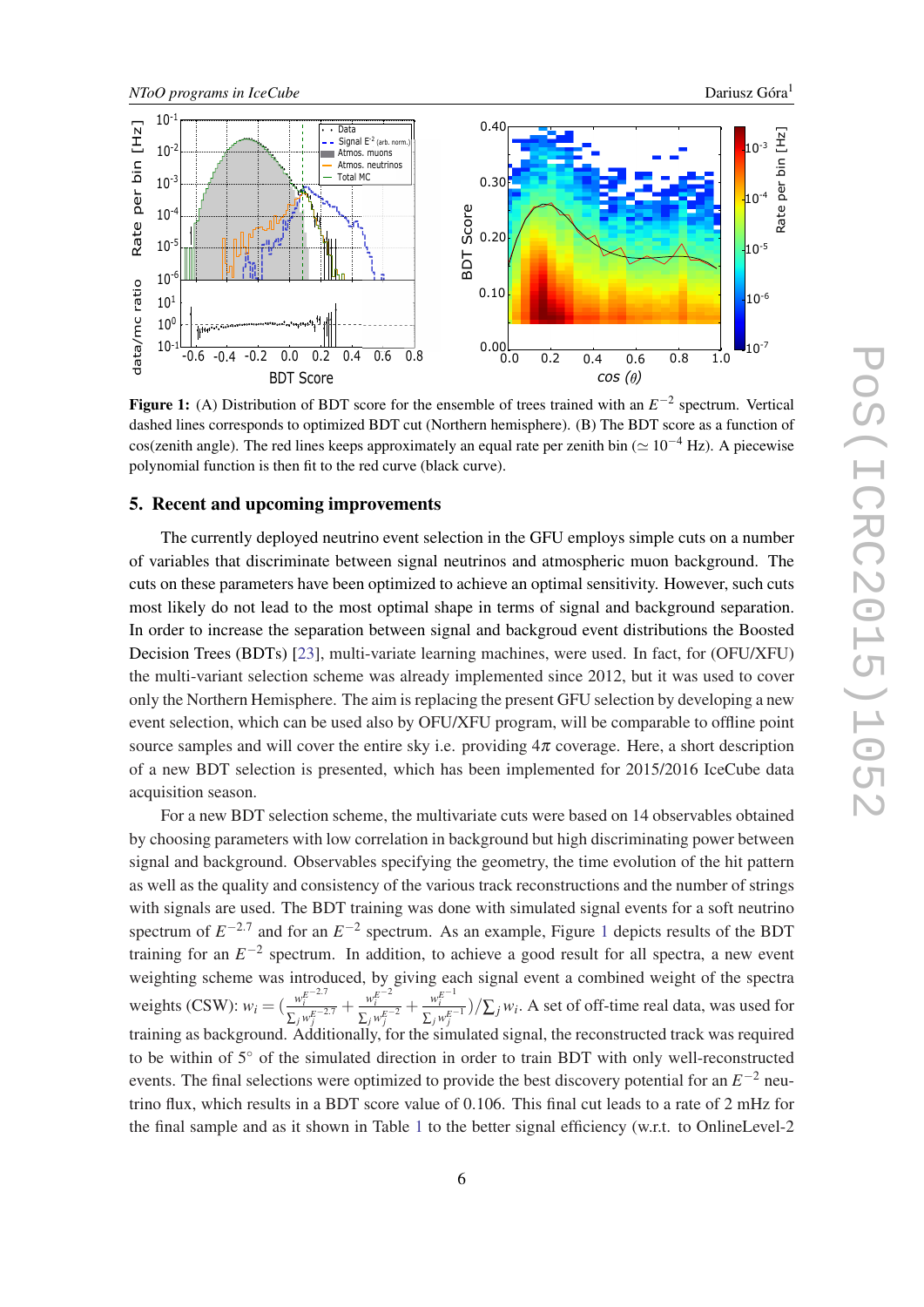<span id="page-5-0"></span>

Figure 1: (A) Distribution of BDT score for the ensemble of trees trained with an  $E^{-2}$  spectrum. Vertical dashed lines corresponds to optimized BDT cut (Northern hemisphere). (B) The BDT score as a function of cos(zenith angle). The red lines keeps approximately an equal rate per zenith bin ( $\simeq 10^{-4}$  Hz). A piecewise polynomial function is then fit to the red curve (black curve).

#### 5. Recent and upcoming improvements

The currently deployed neutrino event selection in the GFU employs simple cuts on a number of variables that discriminate between signal neutrinos and atmospheric muon background. The cuts on these parameters have been optimized to achieve an optimal sensitivity. However, such cuts most likely do not lead to the most optimal shape in terms of signal and background separation. In order to increase the separation between signal and backgroud event distributions the Boosted Decision Trees (BDTs) [[23\]](#page-7-0), multi-variate learning machines, were used. In fact, for (OFU/XFU) the multi-variant selection scheme was already implemented since 2012, but it was used to cover only the Northern Hemisphere. The aim is replacing the present GFU selection by developing a new event selection, which can be used also by OFU/XFU program, will be comparable to offline point source samples and will cover the entire sky i.e. providing  $4\pi$  coverage. Here, a short description of a new BDT selection is presented, which has been implemented for 2015/2016 IceCube data acquisition season.

For a new BDT selection scheme, the multivariate cuts were based on 14 observables obtained by choosing parameters with low correlation in background but high discriminating power between signal and background. Observables specifying the geometry, the time evolution of the hit pattern as well as the quality and consistency of the various track reconstructions and the number of strings with signals are used. The BDT training was done with simulated signal events for a soft neutrino spectrum of  $E^{-2.7}$  and for an  $E^{-2}$  spectrum. As an example, Figure 1 depicts results of the BDT training for an  $E^{-2}$  spectrum. In addition, to achieve a good result for all spectra, a new event weighting scheme was introduced, by giving each signal event a combined weight of the spectra weights (CSW):  $w_i = (\frac{w_i^{E^{-2.7}}}{E_{i,j}^{E^{-2.7}}}$  $\frac{w_i^{E-2.7}}{\sum_j w_j^{E-2.7}} + \frac{w_i^{E-2}}{\sum_j w_j^{E-2}}$  $\frac{w_i^{E-2}}{\sum_j w_j^{E-2}} + \frac{w_i^{E-1}}{\sum_j w_j^{E-1}}$  $\frac{w_i}{\sum_j w_j^{E-1}}$  )/ $\sum_j w_i$ . A set of off-time real data, was used for training as background. Additionally, for the simulated signal, the reconstructed track was required to be within of 5◦ of the simulated direction in order to train BDT with only well-reconstructed events. The final selections were optimized to provide the best discovery potential for an  $E^{-2}$  neutrino flux, which results in a BDT score value of 0.106. This final cut leads to a rate of 2 mHz for the final sample and as it shown in Table [1](#page-6-0) to the better signal efficiency (w.r.t. to OnlineLevel-2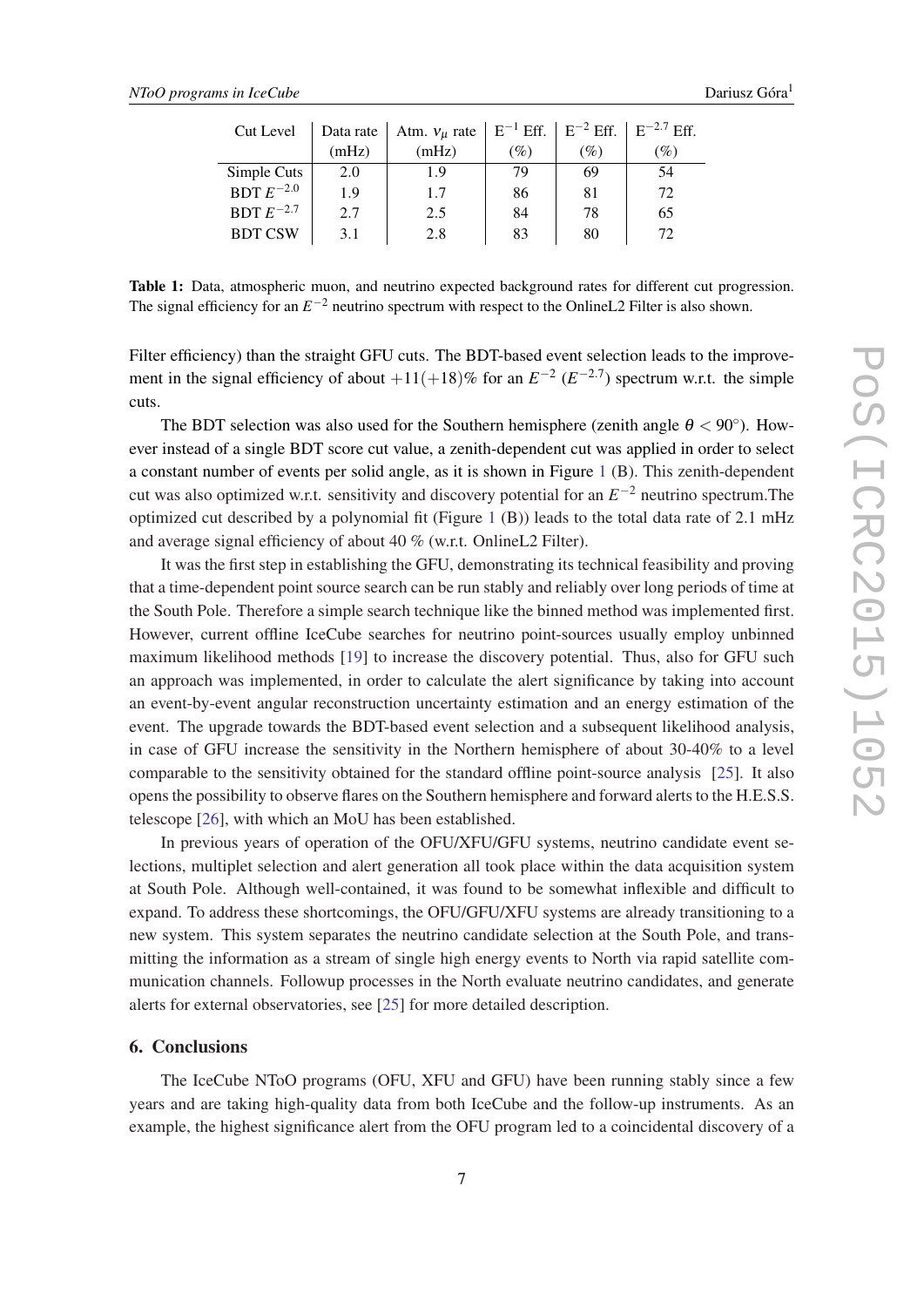<span id="page-6-0"></span>

| Cut Level      | Data rate | Atm. $v_{\mu}$ rate $ E^{-1}Eff.  E^{-2}Eff.  E^{-2.7}Eff.$ |     |                 |     |
|----------------|-----------|-------------------------------------------------------------|-----|-----------------|-----|
|                | (mHz)     | (mHz)                                                       | (%) | $\mathscr{G}_0$ | (%) |
| Simple Cuts    | 2.0       | 1.9                                                         | 79  | 69              | .54 |
| BDT $E^{-2.0}$ | 1.9       | 1.7                                                         | 86  | 81              | 72  |
| BDT $E^{-2.7}$ | 2.7       | 2.5                                                         | 84  | 78              | 65  |
| <b>BDT CSW</b> | 3.1       | 2.8                                                         | 83  | 80              | 72  |

Table 1: Data, atmospheric muon, and neutrino expected background rates for different cut progression. The signal efficiency for an  $E^{-2}$  neutrino spectrum with respect to the OnlineL2 Filter is also shown.

Filter efficiency) than the straight GFU cuts. The BDT-based event selection leads to the improvement in the signal efficiency of about  $+11(+18)$ % for an  $E^{-2}$  ( $E^{-2.7}$ ) spectrum w.r.t. the simple cuts.

The BDT selection was also used for the Southern hemisphere (zenith angle  $\theta < 90^{\circ}$ ). However instead of a single BDT score cut value, a zenith-dependent cut was applied in order to select a constant number of events per solid angle, as it is shown in Figure [1](#page-5-0) (B). This zenith-dependent cut was also optimized w.r.t. sensitivity and discovery potential for an *E* <sup>−</sup><sup>2</sup> neutrino spectrum.The optimized cut described by a polynomial fit (Figure [1](#page-5-0) (B)) leads to the total data rate of 2.1 mHz and average signal efficiency of about 40 % (w.r.t. OnlineL2 Filter).

It was the first step in establishing the GFU, demonstrating its technical feasibility and proving that a time-dependent point source search can be run stably and reliably over long periods of time at the South Pole. Therefore a simple search technique like the binned method was implemented first. However, current offline IceCube searches for neutrino point-sources usually employ unbinned maximum likelihood methods [[19\]](#page-7-0) to increase the discovery potential. Thus, also for GFU such an approach was implemented, in order to calculate the alert significance by taking into account an event-by-event angular reconstruction uncertainty estimation and an energy estimation of the event. The upgrade towards the BDT-based event selection and a subsequent likelihood analysis, in case of GFU increase the sensitivity in the Northern hemisphere of about 30-40% to a level comparable to the sensitivity obtained for the standard offline point-source analysis [\[25](#page-7-0)]. It also opens the possibility to observe flares on the Southern hemisphere and forward alerts to the H.E.S.S. telescope [\[26](#page-7-0)], with which an MoU has been established.

In previous years of operation of the OFU/XFU/GFU systems, neutrino candidate event selections, multiplet selection and alert generation all took place within the data acquisition system at South Pole. Although well-contained, it was found to be somewhat inflexible and difficult to expand. To address these shortcomings, the OFU/GFU/XFU systems are already transitioning to a new system. This system separates the neutrino candidate selection at the South Pole, and transmitting the information as a stream of single high energy events to North via rapid satellite communication channels. Followup processes in the North evaluate neutrino candidates, and generate alerts for external observatories, see [\[25](#page-7-0)] for more detailed description.

# 6. Conclusions

The IceCube NToO programs (OFU, XFU and GFU) have been running stably since a few years and are taking high-quality data from both IceCube and the follow-up instruments. As an example, the highest significance alert from the OFU program led to a coincidental discovery of a